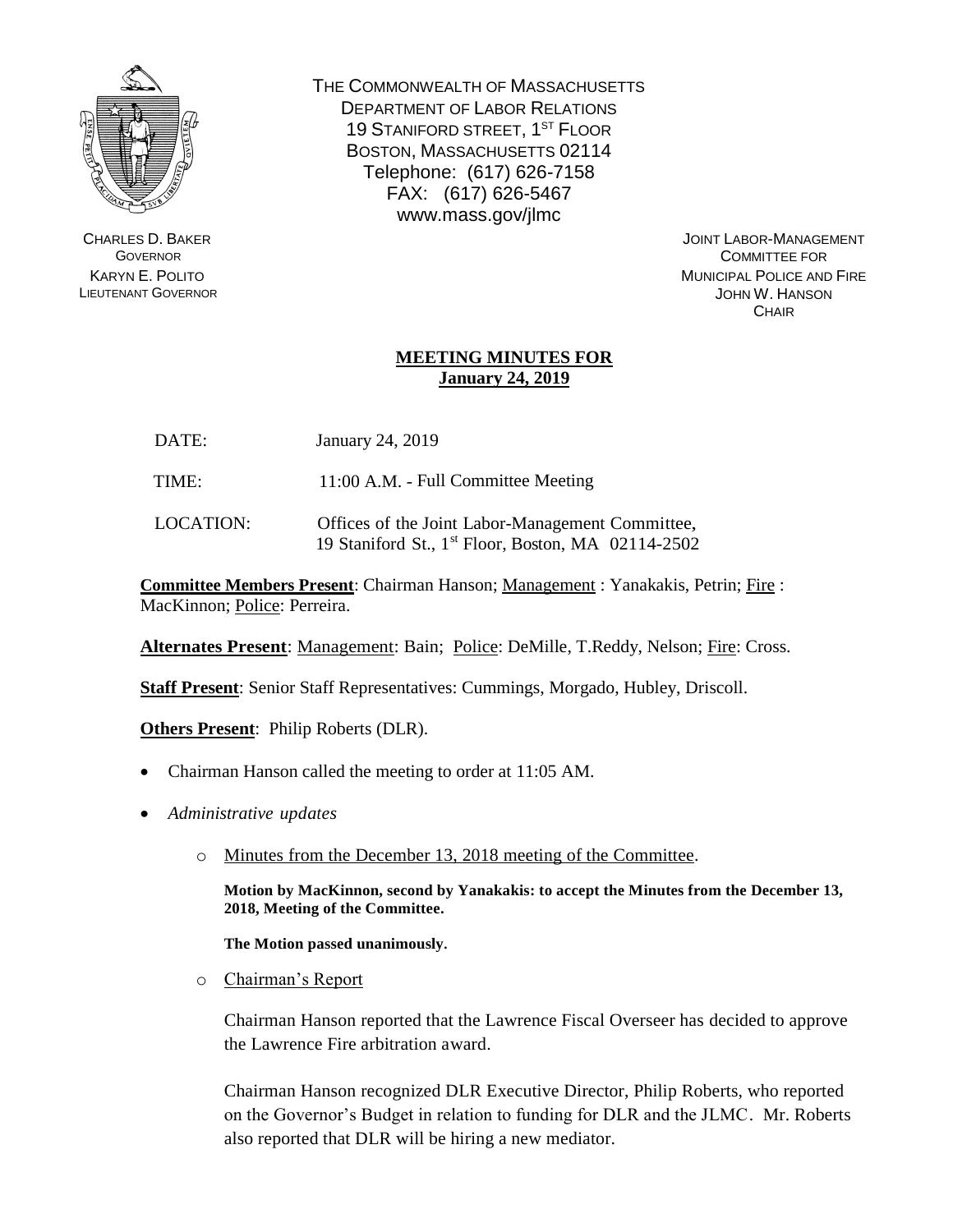

CHARLES D. BAKER **GOVERNOR** KARYN E. POLITO LIEUTENANT GOVERNOR THE COMMONWEALTH OF MASSACHUSETTS DEPARTMENT OF LABOR RELATIONS 19 STANIFORD STREET, 1<sup>ST</sup> FLOOR BOSTON, MASSACHUSETTS 02114 Telephone: (617) 626-7158 FAX: (617) 626-5467 www.mass.gov/jlmc

> JOINT LABOR-MANAGEMENT COMMITTEE FOR MUNICIPAL POLICE AND FIRE JOHN W. HANSON **CHAIR**

## **MEETING MINUTES FOR January 24, 2019**

- DATE: January 24, 2019
- TIME: 11:00 A.M. Full Committee Meeting
- LOCATION: Offices of the Joint Labor-Management Committee, 19 Staniford St., 1 st Floor, Boston, MA 02114-2502

**Committee Members Present**: Chairman Hanson; Management : Yanakakis, Petrin; Fire : MacKinnon; Police: Perreira.

**Alternates Present**: Management: Bain; Police: DeMille, T.Reddy, Nelson; Fire: Cross.

**Staff Present**: Senior Staff Representatives: Cummings, Morgado, Hubley, Driscoll.

**Others Present**: Philip Roberts (DLR).

- Chairman Hanson called the meeting to order at 11:05 AM.
- *Administrative updates*
	- o Minutes from the December 13, 2018 meeting of the Committee.

**Motion by MacKinnon, second by Yanakakis: to accept the Minutes from the December 13, 2018, Meeting of the Committee.** 

**The Motion passed unanimously.**

o Chairman's Report

Chairman Hanson reported that the Lawrence Fiscal Overseer has decided to approve the Lawrence Fire arbitration award.

Chairman Hanson recognized DLR Executive Director, Philip Roberts, who reported on the Governor's Budget in relation to funding for DLR and the JLMC. Mr. Roberts also reported that DLR will be hiring a new mediator.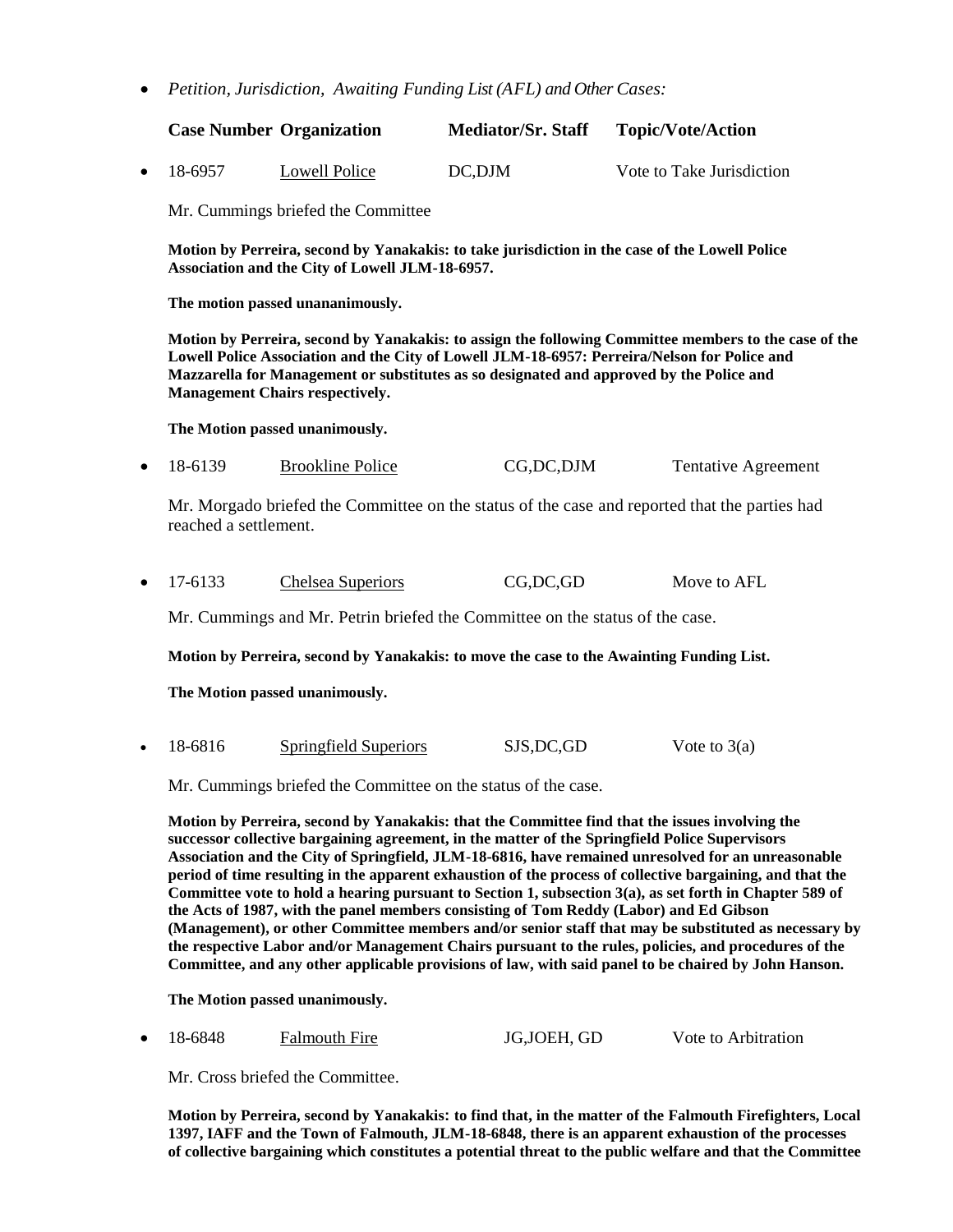*Petition, Jurisdiction, Awaiting Funding List (AFL) and Other Cases:*

|                   | <b>Case Number Organization</b> | <b>Mediator/Sr. Staff</b> | <b>Topic/Vote/Action</b>  |
|-------------------|---------------------------------|---------------------------|---------------------------|
| $\bullet$ 18-6957 | Lowell Police                   | DC.DJM                    | Vote to Take Jurisdiction |

Mr. Cummings briefed the Committee

**Motion by Perreira, second by Yanakakis: to take jurisdiction in the case of the Lowell Police Association and the City of Lowell JLM-18-6957.**

**The motion passed unananimously.** 

**Motion by Perreira, second by Yanakakis: to assign the following Committee members to the case of the Lowell Police Association and the City of Lowell JLM-18-6957: Perreira/Nelson for Police and Mazzarella for Management or substitutes as so designated and approved by the Police and Management Chairs respectively.**

**The Motion passed unanimously.**

18-6139 Brookline Police CG,DC,DJM Tentative Agreement

Mr. Morgado briefed the Committee on the status of the case and reported that the parties had reached a settlement.

17-6133 Chelsea Superiors CG,DC,GD Move to AFL

Mr. Cummings and Mr. Petrin briefed the Committee on the status of the case.

**Motion by Perreira, second by Yanakakis: to move the case to the Awainting Funding List.**

**The Motion passed unanimously.**

• 18-6816 Springfield Superiors SJS,DC,GD Vote to 3(a)

Mr. Cummings briefed the Committee on the status of the case.

**Motion by Perreira, second by Yanakakis: that the Committee find that the issues involving the successor collective bargaining agreement, in the matter of the Springfield Police Supervisors Association and the City of Springfield, JLM-18-6816, have remained unresolved for an unreasonable period of time resulting in the apparent exhaustion of the process of collective bargaining, and that the Committee vote to hold a hearing pursuant to Section 1, subsection 3(a), as set forth in Chapter 589 of the Acts of 1987, with the panel members consisting of Tom Reddy (Labor) and Ed Gibson (Management), or other Committee members and/or senior staff that may be substituted as necessary by the respective Labor and/or Management Chairs pursuant to the rules, policies, and procedures of the Committee, and any other applicable provisions of law, with said panel to be chaired by John Hanson.** 

**The Motion passed unanimously.**

18-6848 Falmouth Fire JG,JOEH, GD Vote to Arbitration

Mr. Cross briefed the Committee.

**Motion by Perreira, second by Yanakakis: to find that, in the matter of the Falmouth Firefighters, Local 1397, IAFF and the Town of Falmouth, JLM-18-6848, there is an apparent exhaustion of the processes of collective bargaining which constitutes a potential threat to the public welfare and that the Committee**